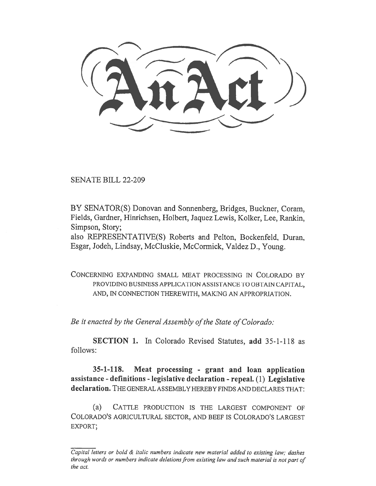SENATE BILL 22-209

BY SENATOR(S) Donovan and Sonnenberg, Bridges, Buckner, Coram, Fields, Gardner, Hinrichsen, Holbert, Jaquez Lewis, Kolker, Lee, Rankin, Simpson, Story;

also REPRESENTATIVE(S) Roberts and Pelton, Bockenfeld, Duran, Esgar, Jodeh, Lindsay, McCluskie, McCormick, Valdez D., Young.

CONCERNING EXPANDING SMALL MEAT PROCESSING IN COLORADO BY PROVIDING BUSINESS APPLICATION ASSISTANCE TO OBTAIN CAPITAL, AND, IN CONNECTION THEREWITH, MAKING AN APPROPRIATION.

Be it enacted by the General Assembly of the State of Colorado:

SECTION 1. In Colorado Revised Statutes, add 35-1-118 as follows:

35-1-118. Meat processing - grant and loan application assistance - definitions - legislative declaration - repeal. (1) Legislative declaration. THE GENERAL ASSEMBLY HEREBY FINDS AND DECLARES THAT:

(a) CATTLE PRODUCTION IS THE LARGEST COMPONENT OF COLORADO'S AGRICULTURAL SECTOR, AND BEEF IS COLORADO'S LARGEST EXPORT;

Capital letters or bold & italic numbers indicate new material added to existing law; dashes through words or numbers indicate deletions from existing law and such material is not part of the act.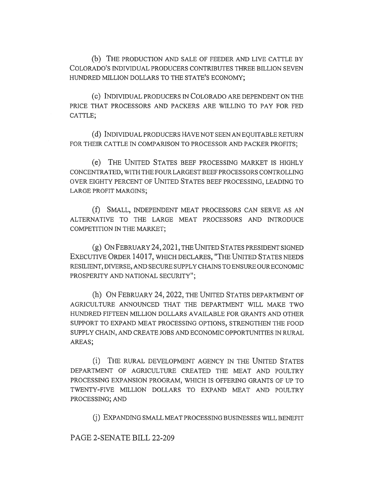(b) THE PRODUCTION AND SALE OF FEEDER AND LIVE CATTLE BY COLORADO'S INDIVIDUAL PRODUCERS CONTRIBUTES THREE BILLION SEVEN HUNDRED MILLION DOLLARS TO THE STATE'S ECONOMY;

(c) INDIVIDUAL PRODUCERS IN COLORADO ARE DEPENDENT ON THE PRICE THAT PROCESSORS AND PACKERS ARE WILLING TO PAY FOR FED CATTLE;

(d) INDIVIDUAL PRODUCERS HAVE NOT SEEN AN EQUITABLE RETURN FOR THEIR CATTLE IN COMPARISON TO PROCESSOR AND PACKER PROFITS;

(e) THE UNITED STATES BEEF PROCESSING MARKET IS HIGHLY CONCENTRATED, WITH THE FOUR LARGEST BEEF PROCESSORS CONTROLLING OVER EIGHTY PERCENT OF UNITED STATES BEEF PROCESSING, LEADING TO LARGE PROFIT MARGINS;

(f) SMALL, INDEPENDENT MEAT PROCESSORS CAN SERVE AS AN ALTERNATIVE TO THE LARGE MEAT PROCESSORS AND INTRODUCE COMPETITION IN THE MARKET;

(g) ON FEBRUARY 24,2021, THE UNITED STATES PRESIDENT SIGNED EXECUTIVE ORDER 14017, WHICH DECLARES, "THE UNITED STATES NEEDS RESILIENT, DIVERSE, AND SECURE SUPPLY CHAINS TO ENSURE OUR ECONOMIC PROSPERITY AND NATIONAL SECURITY";

(h) ON FEBRUARY 24, 2022, THE UNITED STATES DEPARTMENT OF AGRICULTURE ANNOUNCED THAT THE DEPARTMENT WILL MAKE TWO HUNDRED FIFTEEN MILLION DOLLARS AVAILABLE FOR GRANTS AND OTHER SUPPORT TO EXPAND MEAT PROCESSING OPTIONS, STRENGTHEN THE FOOD SUPPLY CHAIN, AND CREATE JOBS AND ECONOMIC OPPORTUNITIES IN RURAL AREAS;

(i) THE RURAL DEVELOPMENT AGENCY IN THE UNITED STATES DEPARTMENT OF AGRICULTURE CREATED THE MEAT AND POULTRY PROCESSING EXPANSION PROGRAM, WHICH IS OFFERING GRANTS OF UP TO TWENTY-FIVE MILLION DOLLARS TO EXPAND MEAT AND POULTRY PROCESSING; AND

(j) EXPANDING SMALL MEAT PROCESSING BUSINESSES WILL BENEFIT

PAGE 2-SENATE BILL 22-209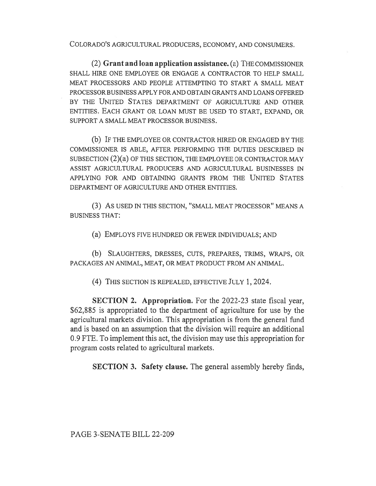COLORADO'S AGRICULTURAL PRODUCERS, ECONOMY, AND CONSUMERS.

(2) Grant and loan application assistance. (a) THE COMMISSIONER SHALL HIRE ONE EMPLOYEE OR ENGAGE A CONTRACTOR TO HELP SMALL MEAT PROCESSORS AND PEOPLE ATTEMPTING TO START A SMALL MEAT PROCESSOR BUSINESS APPLY FOR AND OBTAIN GRANTS AND LOANS OFFERED BY THE UNITED STATES DEPARTMENT OF AGRICULTURE AND OTHER ENTITIES. EACH GRANT OR LOAN MUST BE USED TO START, EXPAND, OR SUPPORT A SMALL MEAT PROCESSOR BUSINESS.

(b) IF THE EMPLOYEE OR CONTRACTOR HIRED OR ENGAGED BY THE COMMISSIONER IS ABLE, AFTER PERFORMING THE DUTIES DESCRIBED IN SUBSECTION (2)(a) OF THIS SECTION, THE EMPLOYEE OR CONTRACTOR MAY ASSIST AGRICULTURAL PRODUCERS AND AGRICULTURAL BUSINESSES IN APPLYING FOR AND OBTAINING GRANTS FROM THE UNITED STATES DEPARTMENT OF AGRICULTURE AND OTHER ENTITIES.

(3) AS USED IN THIS SECTION, "SMALL MEAT PROCESSOR" MEANS A BUSINESS THAT:

(a) EMPLOYS FIVE HUNDRED OR FEWER INDIVIDUALS; AND

(b) SLAUGHTERS, DRESSES, CUTS, PREPARES, TRIMS, WRAPS, OR PACKAGES AN ANIMAL, MEAT, OR MEAT PRODUCT FROM AN ANIMAL.

(4) THIS SECTION IS REPEALED, EFFECTIVE JULY 1, 2024.

SECTION 2. Appropriation. For the 2022-23 state fiscal year, \$62,885 is appropriated to the department of agriculture for use by the agricultural markets division. This appropriation is from the general fund and is based on an assumption that the division will require an additional 0.9 FTE. To implement this act, the division may use this appropriation for program costs related to agricultural markets.

SECTION 3. Safety clause. The general assembly hereby finds,

PAGE 3-SENATE BILL 22-209